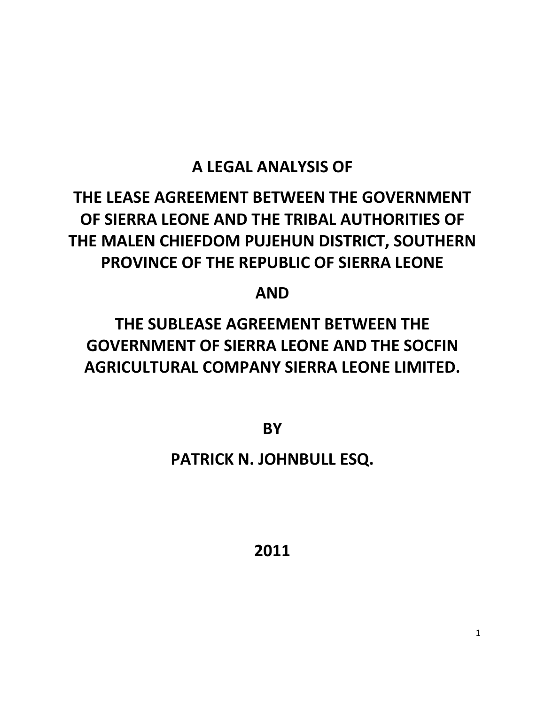# **A LEGAL ANALYSIS OF**

# **THE LEASE AGREEMENT BETWEEN THE GOVERNMENT OF SIERRA LEONE AND THE TRIBAL AUTHORITIES OF THE MALEN CHIEFDOM PUJEHUN DISTRICT, SOUTHERN PROVINCE OF THE REPUBLIC OF SIERRA LEONE**

**AND**

# **THE SUBLEASE AGREEMENT BETWEEN THE GOVERNMENT OF SIERRA LEONE AND THE SOCFIN AGRICULTURAL COMPANY SIERRA LEONE LIMITED.**

**BY**

# **PATRICK N. JOHNBULL ESQ.**

**2011**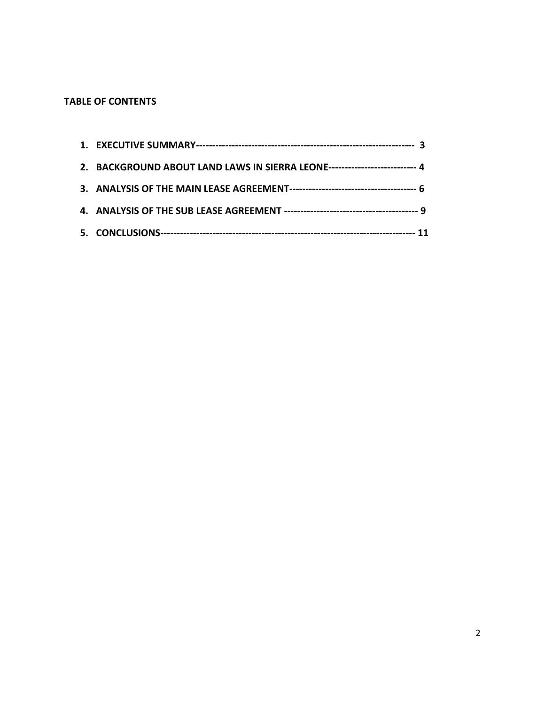# **TABLE OF CONTENTS**

| 2. BACKGROUND ABOUT LAND LAWS IN SIERRA LEONE--------------------------- 4 |  |
|----------------------------------------------------------------------------|--|
|                                                                            |  |
|                                                                            |  |
|                                                                            |  |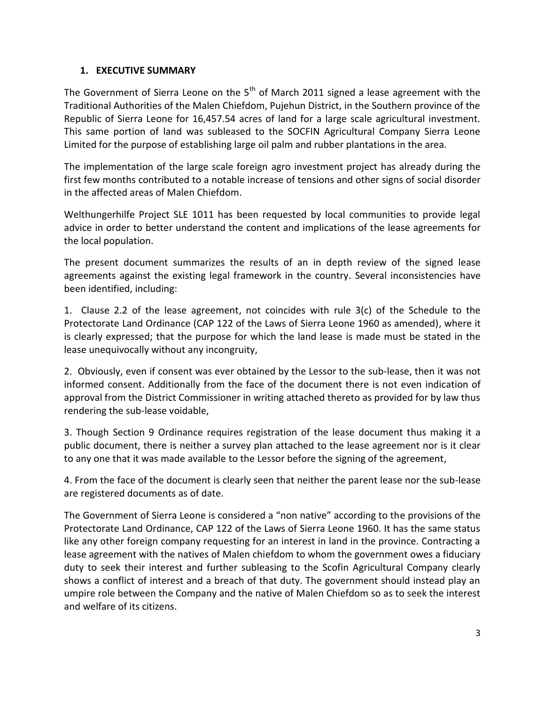#### **1. EXECUTIVE SUMMARY**

The Government of Sierra Leone on the  $5<sup>th</sup>$  of March 2011 signed a lease agreement with the Traditional Authorities of the Malen Chiefdom, Pujehun District, in the Southern province of the Republic of Sierra Leone for 16,457.54 acres of land for a large scale agricultural investment. This same portion of land was subleased to the SOCFIN Agricultural Company Sierra Leone Limited for the purpose of establishing large oil palm and rubber plantations in the area.

The implementation of the large scale foreign agro investment project has already during the first few months contributed to a notable increase of tensions and other signs of social disorder in the affected areas of Malen Chiefdom.

Welthungerhilfe Project SLE 1011 has been requested by local communities to provide legal advice in order to better understand the content and implications of the lease agreements for the local population.

The present document summarizes the results of an in depth review of the signed lease agreements against the existing legal framework in the country. Several inconsistencies have been identified, including:

1. Clause 2.2 of the lease agreement, not coincides with rule 3(c) of the Schedule to the Protectorate Land Ordinance (CAP 122 of the Laws of Sierra Leone 1960 as amended), where it is clearly expressed; that the purpose for which the land lease is made must be stated in the lease unequivocally without any incongruity,

2. Obviously, even if consent was ever obtained by the Lessor to the sub-lease, then it was not informed consent. Additionally from the face of the document there is not even indication of approval from the District Commissioner in writing attached thereto as provided for by law thus rendering the sub-lease voidable,

3. Though Section 9 Ordinance requires registration of the lease document thus making it a public document, there is neither a survey plan attached to the lease agreement nor is it clear to any one that it was made available to the Lessor before the signing of the agreement,

4. From the face of the document is clearly seen that neither the parent lease nor the sub-lease are registered documents as of date.

The Government of Sierra Leone is considered a "non native" according to the provisions of the Protectorate Land Ordinance, CAP 122 of the Laws of Sierra Leone 1960. It has the same status like any other foreign company requesting for an interest in land in the province. Contracting a lease agreement with the natives of Malen chiefdom to whom the government owes a fiduciary duty to seek their interest and further subleasing to the Scofin Agricultural Company clearly shows a conflict of interest and a breach of that duty. The government should instead play an umpire role between the Company and the native of Malen Chiefdom so as to seek the interest and welfare of its citizens.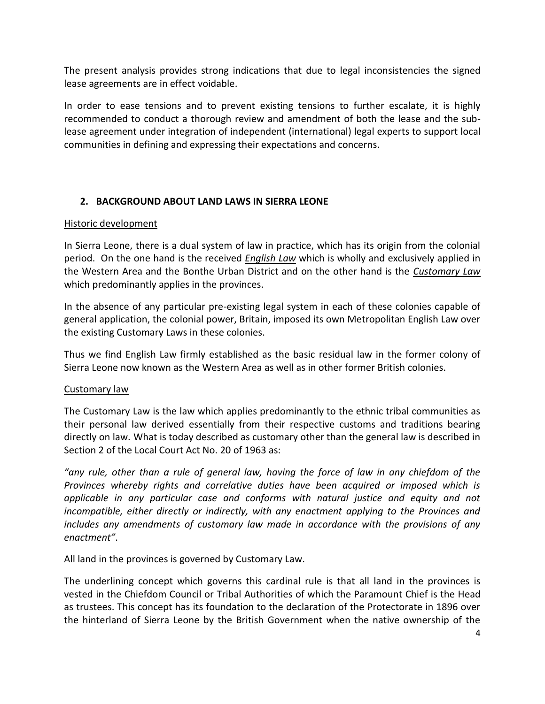The present analysis provides strong indications that due to legal inconsistencies the signed lease agreements are in effect voidable.

In order to ease tensions and to prevent existing tensions to further escalate, it is highly recommended to conduct a thorough review and amendment of both the lease and the sublease agreement under integration of independent (international) legal experts to support local communities in defining and expressing their expectations and concerns.

# **2. BACKGROUND ABOUT LAND LAWS IN SIERRA LEONE**

#### Historic development

In Sierra Leone, there is a dual system of law in practice, which has its origin from the colonial period. On the one hand is the received *English Law* which is wholly and exclusively applied in the Western Area and the Bonthe Urban District and on the other hand is the *Customary Law* which predominantly applies in the provinces.

In the absence of any particular pre-existing legal system in each of these colonies capable of general application, the colonial power, Britain, imposed its own Metropolitan English Law over the existing Customary Laws in these colonies.

Thus we find English Law firmly established as the basic residual law in the former colony of Sierra Leone now known as the Western Area as well as in other former British colonies.

#### Customary law

The Customary Law is the law which applies predominantly to the ethnic tribal communities as their personal law derived essentially from their respective customs and traditions bearing directly on law. What is today described as customary other than the general law is described in Section 2 of the Local Court Act No. 20 of 1963 as:

*"any rule, other than a rule of general law, having the force of law in any chiefdom of the Provinces whereby rights and correlative duties have been acquired or imposed which is applicable in any particular case and conforms with natural justice and equity and not incompatible, either directly or indirectly, with any enactment applying to the Provinces and includes any amendments of customary law made in accordance with the provisions of any enactment"*.

All land in the provinces is governed by Customary Law.

The underlining concept which governs this cardinal rule is that all land in the provinces is vested in the Chiefdom Council or Tribal Authorities of which the Paramount Chief is the Head as trustees. This concept has its foundation to the declaration of the Protectorate in 1896 over the hinterland of Sierra Leone by the British Government when the native ownership of the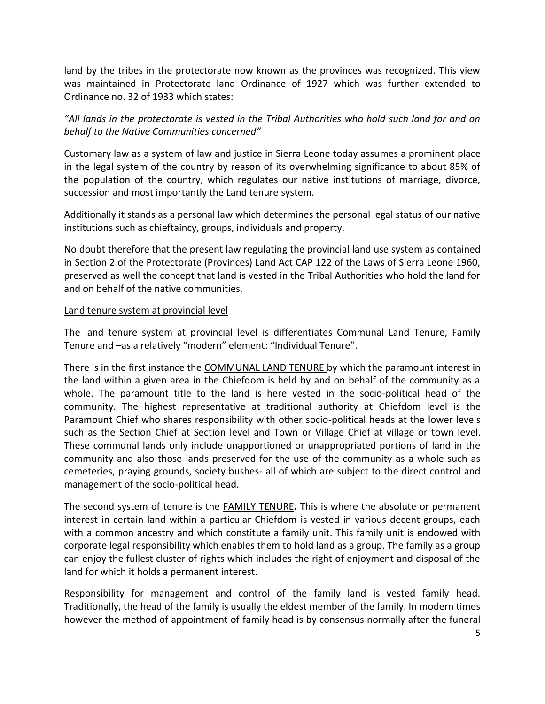land by the tribes in the protectorate now known as the provinces was recognized. This view was maintained in Protectorate land Ordinance of 1927 which was further extended to Ordinance no. 32 of 1933 which states:

*"All lands in the protectorate is vested in the Tribal Authorities who hold such land for and on behalf to the Native Communities concerned"*

Customary law as a system of law and justice in Sierra Leone today assumes a prominent place in the legal system of the country by reason of its overwhelming significance to about 85% of the population of the country, which regulates our native institutions of marriage, divorce, succession and most importantly the Land tenure system.

Additionally it stands as a personal law which determines the personal legal status of our native institutions such as chieftaincy, groups, individuals and property.

No doubt therefore that the present law regulating the provincial land use system as contained in Section 2 of the Protectorate (Provinces) Land Act CAP 122 of the Laws of Sierra Leone 1960, preserved as well the concept that land is vested in the Tribal Authorities who hold the land for and on behalf of the native communities.

#### Land tenure system at provincial level

The land tenure system at provincial level is differentiates Communal Land Tenure, Family Tenure and –as a relatively "modern" element: "Individual Tenure".

There is in the first instance the COMMUNAL LAND TENURE by which the paramount interest in the land within a given area in the Chiefdom is held by and on behalf of the community as a whole. The paramount title to the land is here vested in the socio-political head of the community. The highest representative at traditional authority at Chiefdom level is the Paramount Chief who shares responsibility with other socio-political heads at the lower levels such as the Section Chief at Section level and Town or Village Chief at village or town level. These communal lands only include unapportioned or unappropriated portions of land in the community and also those lands preserved for the use of the community as a whole such as cemeteries, praying grounds, society bushes- all of which are subject to the direct control and management of the socio-political head.

The second system of tenure is the FAMILY TENURE**.** This is where the absolute or permanent interest in certain land within a particular Chiefdom is vested in various decent groups, each with a common ancestry and which constitute a family unit. This family unit is endowed with corporate legal responsibility which enables them to hold land as a group. The family as a group can enjoy the fullest cluster of rights which includes the right of enjoyment and disposal of the land for which it holds a permanent interest.

Responsibility for management and control of the family land is vested family head. Traditionally, the head of the family is usually the eldest member of the family. In modern times however the method of appointment of family head is by consensus normally after the funeral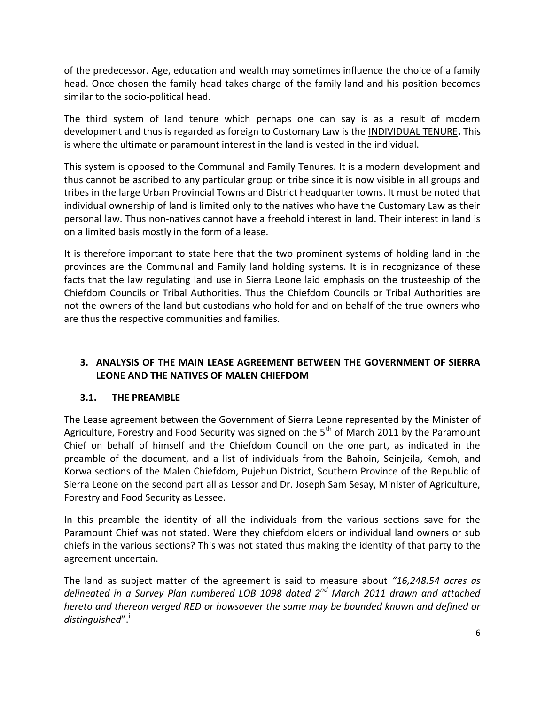of the predecessor. Age, education and wealth may sometimes influence the choice of a family head. Once chosen the family head takes charge of the family land and his position becomes similar to the socio-political head.

The third system of land tenure which perhaps one can say is as a result of modern development and thus is regarded as foreign to Customary Law is the INDIVIDUAL TENURE**.** This is where the ultimate or paramount interest in the land is vested in the individual.

This system is opposed to the Communal and Family Tenures. It is a modern development and thus cannot be ascribed to any particular group or tribe since it is now visible in all groups and tribes in the large Urban Provincial Towns and District headquarter towns. It must be noted that individual ownership of land is limited only to the natives who have the Customary Law as their personal law. Thus non-natives cannot have a freehold interest in land. Their interest in land is on a limited basis mostly in the form of a lease.

It is therefore important to state here that the two prominent systems of holding land in the provinces are the Communal and Family land holding systems. It is in recognizance of these facts that the law regulating land use in Sierra Leone laid emphasis on the trusteeship of the Chiefdom Councils or Tribal Authorities. Thus the Chiefdom Councils or Tribal Authorities are not the owners of the land but custodians who hold for and on behalf of the true owners who are thus the respective communities and families.

# **3. ANALYSIS OF THE MAIN LEASE AGREEMENT BETWEEN THE GOVERNMENT OF SIERRA LEONE AND THE NATIVES OF MALEN CHIEFDOM**

#### **3.1. THE PREAMBLE**

The Lease agreement between the Government of Sierra Leone represented by the Minister of Agriculture, Forestry and Food Security was signed on the  $5<sup>th</sup>$  of March 2011 by the Paramount Chief on behalf of himself and the Chiefdom Council on the one part, as indicated in the preamble of the document, and a list of individuals from the Bahoin, Seinjeila, Kemoh, and Korwa sections of the Malen Chiefdom, Pujehun District, Southern Province of the Republic of Sierra Leone on the second part all as Lessor and Dr. Joseph Sam Sesay, Minister of Agriculture, Forestry and Food Security as Lessee.

In this preamble the identity of all the individuals from the various sections save for the Paramount Chief was not stated. Were they chiefdom elders or individual land owners or sub chiefs in the various sections? This was not stated thus making the identity of that party to the agreement uncertain.

The land as subject matter of the agreement is said to measure about *"16,248.54 acres as delineated in a Survey Plan numbered LOB 1098 dated 2nd March 2011 drawn and attached hereto and thereon verged RED or howsoever the same may be bounded known and defined or*  distinguished".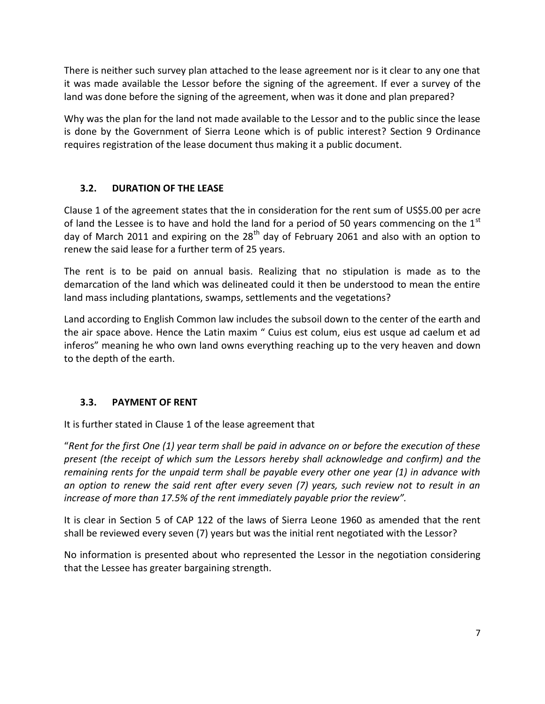There is neither such survey plan attached to the lease agreement nor is it clear to any one that it was made available the Lessor before the signing of the agreement. If ever a survey of the land was done before the signing of the agreement, when was it done and plan prepared?

Why was the plan for the land not made available to the Lessor and to the public since the lease is done by the Government of Sierra Leone which is of public interest? Section 9 Ordinance requires registration of the lease document thus making it a public document.

# **3.2. DURATION OF THE LEASE**

Clause 1 of the agreement states that the in consideration for the rent sum of US\$5.00 per acre of land the Lessee is to have and hold the land for a period of 50 years commencing on the  $1<sup>st</sup>$ day of March 2011 and expiring on the 28<sup>th</sup> day of February 2061 and also with an option to renew the said lease for a further term of 25 years.

The rent is to be paid on annual basis. Realizing that no stipulation is made as to the demarcation of the land which was delineated could it then be understood to mean the entire land mass including plantations, swamps, settlements and the vegetations?

Land according to English Common law includes the subsoil down to the center of the earth and the air space above. Hence the Latin maxim " Cuius est colum, eius est usque ad caelum et ad inferos" meaning he who own land owns everything reaching up to the very heaven and down to the depth of the earth.

#### **3.3. PAYMENT OF RENT**

It is further stated in Clause 1 of the lease agreement that

"*Rent for the first One (1) year term shall be paid in advance on or before the execution of these present (the receipt of which sum the Lessors hereby shall acknowledge and confirm) and the remaining rents for the unpaid term shall be payable every other one year (1) in advance with an option to renew the said rent after every seven (7) years, such review not to result in an increase of more than 17.5% of the rent immediately payable prior the review".*

It is clear in Section 5 of CAP 122 of the laws of Sierra Leone 1960 as amended that the rent shall be reviewed every seven (7) years but was the initial rent negotiated with the Lessor?

No information is presented about who represented the Lessor in the negotiation considering that the Lessee has greater bargaining strength.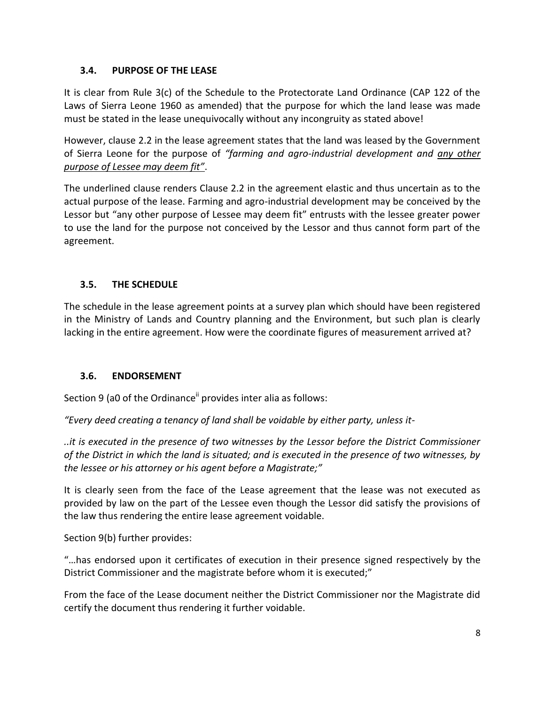# **3.4. PURPOSE OF THE LEASE**

It is clear from Rule 3(c) of the Schedule to the Protectorate Land Ordinance (CAP 122 of the Laws of Sierra Leone 1960 as amended) that the purpose for which the land lease was made must be stated in the lease unequivocally without any incongruity as stated above!

However, clause 2.2 in the lease agreement states that the land was leased by the Government of Sierra Leone for the purpose of *"farming and agro-industrial development and any other purpose of Lessee may deem fit"*.

The underlined clause renders Clause 2.2 in the agreement elastic and thus uncertain as to the actual purpose of the lease. Farming and agro-industrial development may be conceived by the Lessor but "any other purpose of Lessee may deem fit" entrusts with the lessee greater power to use the land for the purpose not conceived by the Lessor and thus cannot form part of the agreement.

# **3.5. THE SCHEDULE**

The schedule in the lease agreement points at a survey plan which should have been registered in the Ministry of Lands and Country planning and the Environment, but such plan is clearly lacking in the entire agreement. How were the coordinate figures of measurement arrived at?

#### **3.6. ENDORSEMENT**

Section 9 (a0 of the Ordinance<sup>ii</sup> provides inter alia as follows:

*"Every deed creating a tenancy of land shall be voidable by either party, unless it-*

*..it is executed in the presence of two witnesses by the Lessor before the District Commissioner of the District in which the land is situated; and is executed in the presence of two witnesses, by the lessee or his attorney or his agent before a Magistrate;"*

It is clearly seen from the face of the Lease agreement that the lease was not executed as provided by law on the part of the Lessee even though the Lessor did satisfy the provisions of the law thus rendering the entire lease agreement voidable.

Section 9(b) further provides:

"…has endorsed upon it certificates of execution in their presence signed respectively by the District Commissioner and the magistrate before whom it is executed;"

From the face of the Lease document neither the District Commissioner nor the Magistrate did certify the document thus rendering it further voidable.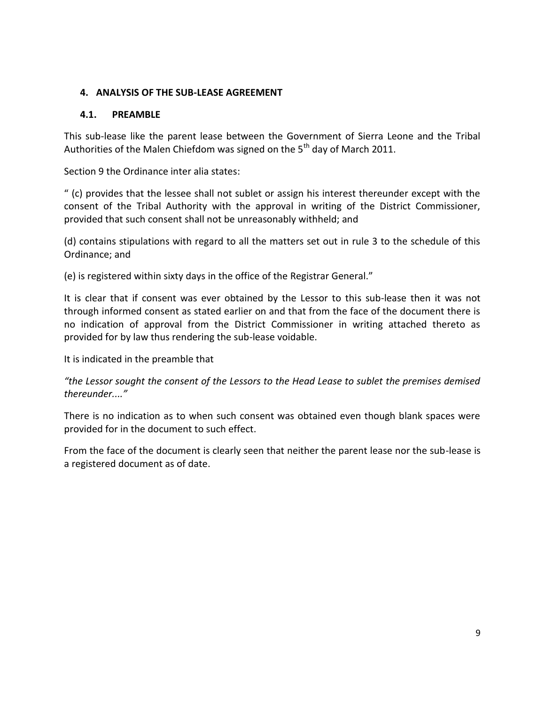### **4. ANALYSIS OF THE SUB-LEASE AGREEMENT**

### **4.1. PREAMBLE**

This sub-lease like the parent lease between the Government of Sierra Leone and the Tribal Authorities of the Malen Chiefdom was signed on the  $5<sup>th</sup>$  day of March 2011.

Section 9 the Ordinance inter alia states:

" (c) provides that the lessee shall not sublet or assign his interest thereunder except with the consent of the Tribal Authority with the approval in writing of the District Commissioner, provided that such consent shall not be unreasonably withheld; and

(d) contains stipulations with regard to all the matters set out in rule 3 to the schedule of this Ordinance; and

(e) is registered within sixty days in the office of the Registrar General."

It is clear that if consent was ever obtained by the Lessor to this sub-lease then it was not through informed consent as stated earlier on and that from the face of the document there is no indication of approval from the District Commissioner in writing attached thereto as provided for by law thus rendering the sub-lease voidable.

It is indicated in the preamble that

*"the Lessor sought the consent of the Lessors to the Head Lease to sublet the premises demised thereunder...."*

There is no indication as to when such consent was obtained even though blank spaces were provided for in the document to such effect.

From the face of the document is clearly seen that neither the parent lease nor the sub-lease is a registered document as of date.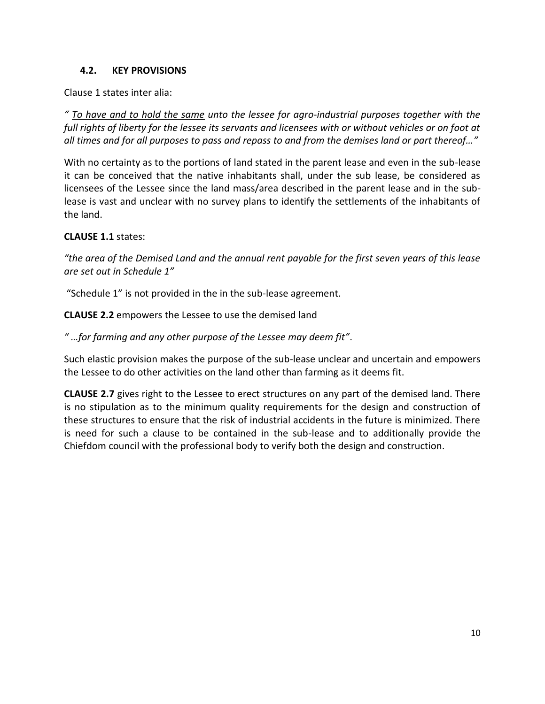### **4.2. KEY PROVISIONS**

Clause 1 states inter alia:

*" To have and to hold the same unto the lessee for agro-industrial purposes together with the full rights of liberty for the lessee its servants and licensees with or without vehicles or on foot at all times and for all purposes to pass and repass to and from the demises land or part thereof…"*

With no certainty as to the portions of land stated in the parent lease and even in the sub-lease it can be conceived that the native inhabitants shall, under the sub lease, be considered as licensees of the Lessee since the land mass/area described in the parent lease and in the sublease is vast and unclear with no survey plans to identify the settlements of the inhabitants of the land.

#### **CLAUSE 1.1** states:

*"the area of the Demised Land and the annual rent payable for the first seven years of this lease are set out in Schedule 1"*

"Schedule 1" is not provided in the in the sub-lease agreement.

**CLAUSE 2.2** empowers the Lessee to use the demised land

*" …for farming and any other purpose of the Lessee may deem fit"*.

Such elastic provision makes the purpose of the sub-lease unclear and uncertain and empowers the Lessee to do other activities on the land other than farming as it deems fit.

**CLAUSE 2.7** gives right to the Lessee to erect structures on any part of the demised land. There is no stipulation as to the minimum quality requirements for the design and construction of these structures to ensure that the risk of industrial accidents in the future is minimized. There is need for such a clause to be contained in the sub-lease and to additionally provide the Chiefdom council with the professional body to verify both the design and construction.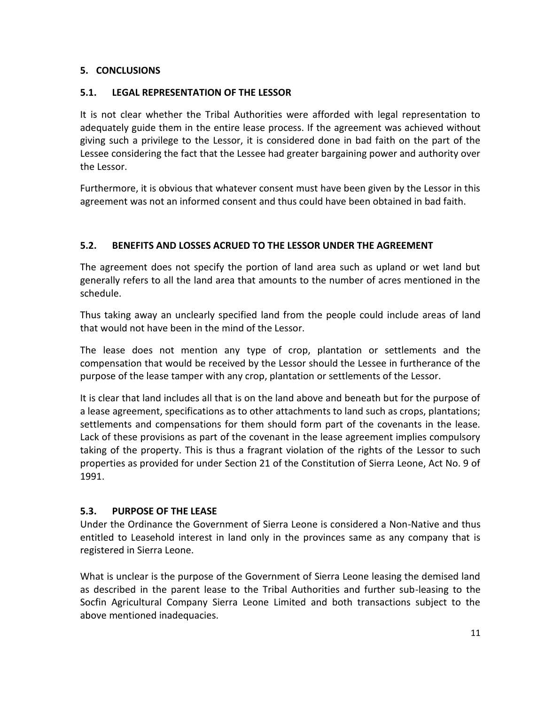#### **5. CONCLUSIONS**

# **5.1. LEGAL REPRESENTATION OF THE LESSOR**

It is not clear whether the Tribal Authorities were afforded with legal representation to adequately guide them in the entire lease process. If the agreement was achieved without giving such a privilege to the Lessor, it is considered done in bad faith on the part of the Lessee considering the fact that the Lessee had greater bargaining power and authority over the Lessor.

Furthermore, it is obvious that whatever consent must have been given by the Lessor in this agreement was not an informed consent and thus could have been obtained in bad faith.

# **5.2. BENEFITS AND LOSSES ACRUED TO THE LESSOR UNDER THE AGREEMENT**

The agreement does not specify the portion of land area such as upland or wet land but generally refers to all the land area that amounts to the number of acres mentioned in the schedule.

Thus taking away an unclearly specified land from the people could include areas of land that would not have been in the mind of the Lessor.

The lease does not mention any type of crop, plantation or settlements and the compensation that would be received by the Lessor should the Lessee in furtherance of the purpose of the lease tamper with any crop, plantation or settlements of the Lessor.

It is clear that land includes all that is on the land above and beneath but for the purpose of a lease agreement, specifications as to other attachments to land such as crops, plantations; settlements and compensations for them should form part of the covenants in the lease. Lack of these provisions as part of the covenant in the lease agreement implies compulsory taking of the property. This is thus a fragrant violation of the rights of the Lessor to such properties as provided for under Section 21 of the Constitution of Sierra Leone, Act No. 9 of 1991.

#### **5.3. PURPOSE OF THE LEASE**

Under the Ordinance the Government of Sierra Leone is considered a Non-Native and thus entitled to Leasehold interest in land only in the provinces same as any company that is registered in Sierra Leone.

What is unclear is the purpose of the Government of Sierra Leone leasing the demised land as described in the parent lease to the Tribal Authorities and further sub-leasing to the Socfin Agricultural Company Sierra Leone Limited and both transactions subject to the above mentioned inadequacies.